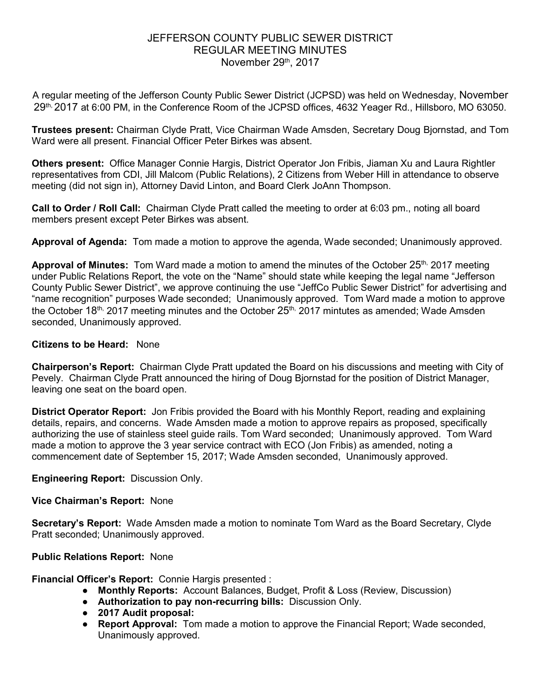## JEFFERSON COUNTY PUBLIC SEWER DISTRICT REGULAR MEETING MINUTES November 29th, 2017

A regular meeting of the Jefferson County Public Sewer District (JCPSD) was held on Wednesday, November 29th, 2017 at 6:00 PM, in the Conference Room of the JCPSD offices, 4632 Yeager Rd., Hillsboro, MO 63050.

**Trustees present:** Chairman Clyde Pratt, Vice Chairman Wade Amsden, Secretary Doug Bjornstad, and Tom Ward were all present. Financial Officer Peter Birkes was absent.

**Others present:** Office Manager Connie Hargis, District Operator Jon Fribis, Jiaman Xu and Laura Rightler representatives from CDI, Jill Malcom (Public Relations), 2 Citizens from Weber Hill in attendance to observe meeting (did not sign in), Attorney David Linton, and Board Clerk JoAnn Thompson.

**Call to Order / Roll Call:** Chairman Clyde Pratt called the meeting to order at 6:03 pm., noting all board members present except Peter Birkes was absent.

**Approval of Agenda:** Tom made a motion to approve the agenda, Wade seconded; Unanimously approved.

**Approval of Minutes:** Tom Ward made a motion to amend the minutes of the October 25<sup>th,</sup> 2017 meeting under Public Relations Report, the vote on the "Name" should state while keeping the legal name "Jefferson County Public Sewer District", we approve continuing the use "JeffCo Public Sewer District" for advertising and "name recognition" purposes Wade seconded; Unanimously approved. Tom Ward made a motion to approve the October  $18<sup>th</sup>$ , 2017 meeting minutes and the October  $25<sup>th</sup>$ , 2017 mintutes as amended; Wade Amsden seconded, Unanimously approved.

#### **Citizens to be Heard:** None

**Chairperson's Report:** Chairman Clyde Pratt updated the Board on his discussions and meeting with City of Pevely. Chairman Clyde Pratt announced the hiring of Doug Bjornstad for the position of District Manager, leaving one seat on the board open.

**District Operator Report:** Jon Fribis provided the Board with his Monthly Report, reading and explaining details, repairs, and concerns. Wade Amsden made a motion to approve repairs as proposed, specifically authorizing the use of stainless steel guide rails. Tom Ward seconded; Unanimously approved. Tom Ward made a motion to approve the 3 year service contract with ECO (Jon Fribis) as amended, noting a commencement date of September 15, 2017; Wade Amsden seconded, Unanimously approved.

**Engineering Report:** Discussion Only.

### **Vice Chairman's Report:** None

**Secretary's Report:** Wade Amsden made a motion to nominate Tom Ward as the Board Secretary, Clyde Pratt seconded; Unanimously approved.

### **Public Relations Report:** None

**Financial Officer's Report:** Connie Hargis presented :

- **Monthly Reports:** Account Balances, Budget, Profit & Loss (Review, Discussion)
- **Authorization to pay non-recurring bills:** Discussion Only.
- **2017 Audit proposal:**
- **Report Approval:** Tom made a motion to approve the Financial Report; Wade seconded, Unanimously approved.